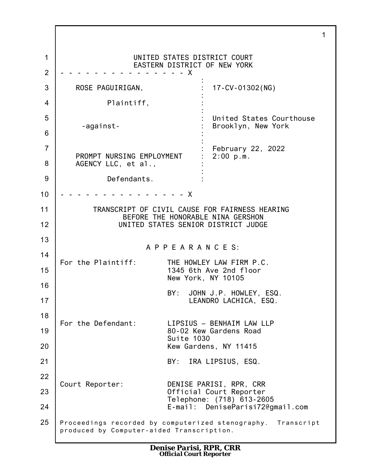1 2 3 4 5 6 7 8 9 10 11 12 13 14 15 16 17 18 19 20 21 22 23 24 25 1 UNITED STATES DISTRICT COURT EASTERN DISTRICT OF NEW YORK - - - - - - - - - - - - - - - X ROSE PAGUIRIGAN, Plaintiff, -against-PROMPT NURSING EMPLOYMENT AGENCY LLC, et al., Defendants. : : : : : : : : : : : : : : 17-CV-01302(NG) United States Courthouse Brooklyn, New York February 22, 2022 2:00 p.m. - - - - - - X TRANSCRIPT OF CIVIL CAUSE FOR FAIRNESS HEARING BEFORE THE HONORABLE NINA GERSHON UNITED STATES SENIOR DISTRICT JUDGE A P P E A R A N C E S: For the Plaintiff: THE HOWLEY LAW FIRM P.C. 1345 6th Ave 2nd floor New York, NY 10105 BY: JOHN J.P. HOWLEY, ESQ. LEANDRO LACHICA, ESQ. For the Defendant: LIPSIUS – BENHAIM LAW LLP 80-02 Kew Gardens Road Suite 1030 Kew Gardens, NY 11415 BY: IRA LIPSIUS, ESQ. Court Reporter: DENISE PARISI, RPR, CRR Official Court Reporter Telephone: (718) 613-2605 E-mail: DeniseParisi72@gmail.com Proceedings recorded by computerized stenography. Transcript produced by Computer-aided Transcription.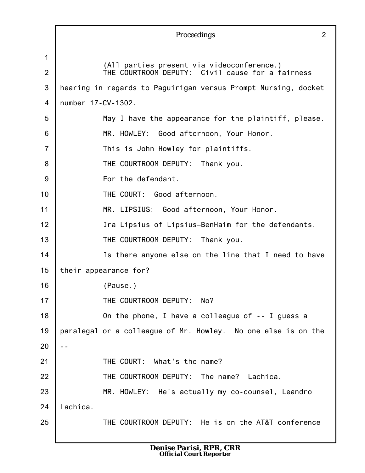|                |                    | Proceedings                                                                                    | $\overline{2}$ |
|----------------|--------------------|------------------------------------------------------------------------------------------------|----------------|
| 1              |                    |                                                                                                |                |
| 2              |                    | (All parties present via videoconference.)<br>THE COURTROOM DEPUTY: Civil cause for a fairness |                |
| 3              |                    | hearing in regards to Paguirigan versus Prompt Nursing, docket                                 |                |
| $\overline{4}$ | number 17-CV-1302. |                                                                                                |                |
| 5              |                    | May I have the appearance for the plaintiff, please.                                           |                |
| 6              |                    | MR. HOWLEY: Good afternoon, Your Honor.                                                        |                |
| $\overline{7}$ |                    | This is John Howley for plaintiffs.                                                            |                |
| 8              |                    | THE COURTROOM DEPUTY:<br>Thank you.                                                            |                |
| 9              |                    | For the defendant.                                                                             |                |
| 10             |                    | THE COURT: Good afternoon.                                                                     |                |
| 11             |                    | MR. LIPSIUS: Good afternoon, Your Honor.                                                       |                |
| 12             |                    | Ira Lipsius of Lipsius-BenHaim for the defendants.                                             |                |
| 13             |                    | THE COURTROOM DEPUTY: Thank you.                                                               |                |
| 14             |                    | Is there anyone else on the line that I need to have                                           |                |
| 15             |                    | their appearance for?                                                                          |                |
| 16             |                    | (Pause.)                                                                                       |                |
| 17             |                    | THE COURTROOM DEPUTY: No?                                                                      |                |
| 18             |                    | On the phone, I have a colleague of -- I guess a                                               |                |
| 19             |                    | paralegal or a colleague of Mr. Howley. No one else is on the                                  |                |
| 20             |                    |                                                                                                |                |
| 21             |                    | THE COURT: What's the name?                                                                    |                |
| 22             |                    | THE COURTROOM DEPUTY: The name? Lachica.                                                       |                |
| 23             |                    | MR. HOWLEY: He's actually my co-counsel, Leandro                                               |                |
| 24             | Lachica.           |                                                                                                |                |
| 25             |                    | THE COURTROOM DEPUTY: He is on the AT&T conference                                             |                |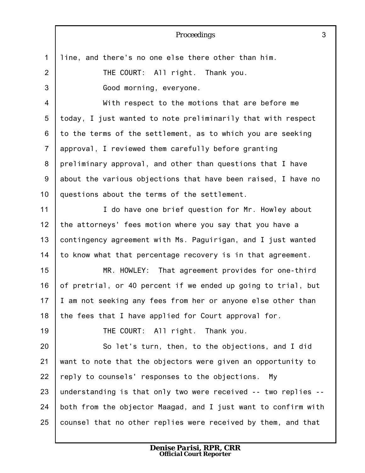|                | 3<br>Proceedings                                               |
|----------------|----------------------------------------------------------------|
| $\mathbf{1}$   | line, and there's no one else there other than him.            |
| $\overline{2}$ | THE COURT: All right. Thank you.                               |
| 3              | Good morning, everyone.                                        |
| 4              | With respect to the motions that are before me                 |
| 5              | today, I just wanted to note preliminarily that with respect   |
| 6              | to the terms of the settlement, as to which you are seeking    |
| $\overline{7}$ | approval, I reviewed them carefully before granting            |
| 8              | preliminary approval, and other than questions that I have     |
| $9\,$          | about the various objections that have been raised, I have no  |
| 10             | questions about the terms of the settlement.                   |
| 11             | I do have one brief question for Mr. Howley about              |
| 12             | the attorneys' fees motion where you say that you have a       |
| 13             | contingency agreement with Ms. Paguirigan, and I just wanted   |
| 14             | to know what that percentage recovery is in that agreement.    |
| 15             | MR. HOWLEY: That agreement provides for one-third              |
| 16             | of pretrial, or 40 percent if we ended up going to trial, but  |
| 17             | I am not seeking any fees from her or anyone else other than   |
| 18             | the fees that I have applied for Court approval for.           |
| 19             | THE COURT: All right. Thank you.                               |
| 20             | So let's turn, then, to the objections, and I did              |
| 21             | want to note that the objectors were given an opportunity to   |
| 22             | reply to counsels' responses to the objections. My             |
| 23             | understanding is that only two were received -- two replies -- |
| 24             | both from the objector Maagad, and I just want to confirm with |
| 25             | counsel that no other replies were received by them, and that  |
|                |                                                                |

*Denise Parisi, RPR, CRR Official Court Reporter*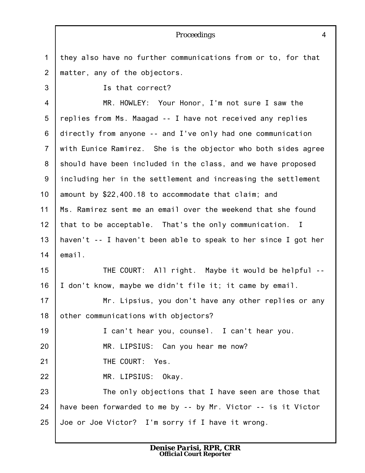|                | Proceedings<br>$\overline{4}$                                  |
|----------------|----------------------------------------------------------------|
| $\mathbf{1}$   | they also have no further communications from or to, for that  |
| 2              | matter, any of the objectors.                                  |
| 3              | Is that correct?                                               |
| 4              | MR. HOWLEY: Your Honor, I'm not sure I saw the                 |
| 5              | replies from Ms. Maagad -- I have not received any replies     |
| 6              | directly from anyone -- and I've only had one communication    |
| $\overline{7}$ | with Eunice Ramirez. She is the objector who both sides agree  |
| 8              | should have been included in the class, and we have proposed   |
| 9              | including her in the settlement and increasing the settlement  |
| 10             | amount by \$22,400.18 to accommodate that claim; and           |
| 11             | Ms. Ramirez sent me an email over the weekend that she found   |
| 12             | that to be acceptable. That's the only communication. I        |
| 13             | haven't -- I haven't been able to speak to her since I got her |
| 14             | email.                                                         |
| 15             | THE COURT: All right. Maybe it would be helpful --             |
| 16             | I don't know, maybe we didn't file it; it came by email.       |
| 17             | Mr. Lipsius, you don't have any other replies or any           |
| 18             | other communications with objectors?                           |
| 19             | I can't hear you, counsel. I can't hear you.                   |
| 20             | MR. LIPSIUS: Can you hear me now?                              |
| 21             | THE COURT: Yes.                                                |
| 22             | MR. LIPSIUS: Okay.                                             |
| 23             | The only objections that I have seen are those that            |
| 24             | have been forwarded to me by -- by Mr. Victor -- is it Victor  |
| 25             | Joe or Joe Victor? I'm sorry if I have it wrong.               |
|                |                                                                |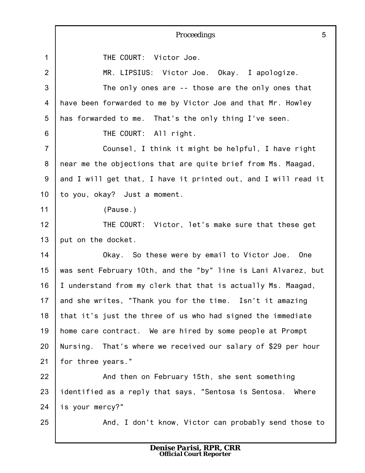|                | 5<br>Proceedings                                               |
|----------------|----------------------------------------------------------------|
| $\mathbf{1}$   | THE COURT: Victor Joe.                                         |
| $\overline{2}$ | MR. LIPSIUS: Victor Joe. Okay. I apologize.                    |
| 3              | The only ones are -- those are the only ones that              |
| 4              | have been forwarded to me by Victor Joe and that Mr. Howley    |
| 5              | has forwarded to me. That's the only thing I've seen.          |
| 6              | THE COURT: All right.                                          |
| $\overline{7}$ | Counsel, I think it might be helpful, I have right             |
| 8              | near me the objections that are quite brief from Ms. Maagad,   |
| 9              | and I will get that, I have it printed out, and I will read it |
| 10             | to you, okay? Just a moment.                                   |
| 11             | (Pause.)                                                       |
| 12             | THE COURT: Victor, let's make sure that these get              |
| 13             | put on the docket.                                             |
| 14             | Okay. So these were by email to Victor Joe. One                |
| 15             | was sent February 10th, and the "by" line is Lani Alvarez, but |
| 16             | I understand from my clerk that that is actually Ms. Maagad,   |
| 17             | and she writes, "Thank you for the time. Isn't it amazing      |
| 18             | that it's just the three of us who had signed the immediate    |
| 19             | home care contract. We are hired by some people at Prompt      |
| 20             | Nursing. That's where we received our salary of \$29 per hour  |
| 21             | for three years."                                              |
| 22             | And then on February 15th, she sent something                  |
| 23             | identified as a reply that says, "Sentosa is Sentosa. Where    |
| 24             | is your mercy?"                                                |
| 25             | And, I don't know, Victor can probably send those to           |
|                |                                                                |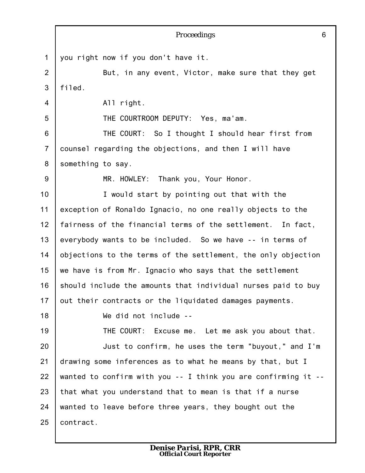|                | 6<br>Proceedings                                               |
|----------------|----------------------------------------------------------------|
| 1              | you right now if you don't have it.                            |
| $\overline{2}$ | But, in any event, Victor, make sure that they get             |
| 3              | filed.                                                         |
| 4              | All right.                                                     |
| 5              | THE COURTROOM DEPUTY: Yes, ma'am.                              |
| 6              | THE COURT: So I thought I should hear first from               |
| $\overline{7}$ | counsel regarding the objections, and then I will have         |
| 8              | something to say.                                              |
| 9              | MR. HOWLEY: Thank you, Your Honor.                             |
| 10             | I would start by pointing out that with the                    |
| 11             | exception of Ronaldo Ignacio, no one really objects to the     |
| 12             | fairness of the financial terms of the settlement. In fact,    |
| 13             | everybody wants to be included. So we have -- in terms of      |
| 14             | objections to the terms of the settlement, the only objection  |
| 15             | we have is from Mr. Ignacio who says that the settlement       |
| 16             | should include the amounts that individual nurses paid to buy  |
| 17             | out their contracts or the liquidated damages payments.        |
| 18             | We did not include --                                          |
| 19             | THE COURT: Excuse me. Let me ask you about that.               |
| 20             | Just to confirm, he uses the term "buyout," and I'm            |
| 21             | drawing some inferences as to what he means by that, but I     |
| 22             | wanted to confirm with you -- I think you are confirming it -- |
| 23             | that what you understand that to mean is that if a nurse       |
| 24             | wanted to leave before three years, they bought out the        |
| 25             | contract.                                                      |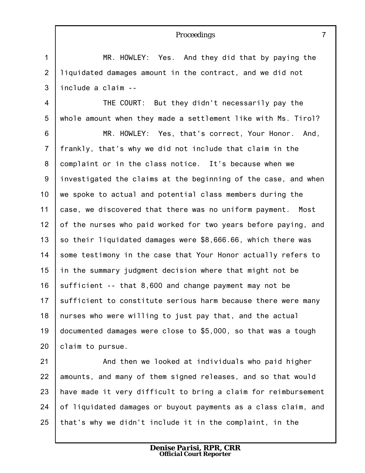|                  | $\overline{7}$<br>Proceedings                                  |
|------------------|----------------------------------------------------------------|
| $\mathbf 1$      | MR. HOWLEY: Yes. And they did that by paying the               |
| $\overline{2}$   | liquidated damages amount in the contract, and we did not      |
| 3                | include a claim --                                             |
| 4                | THE COURT: But they didn't necessarily pay the                 |
| 5                | whole amount when they made a settlement like with Ms. Tirol?  |
| 6                | MR. HOWLEY: Yes, that's correct, Your Honor. And,              |
| $\overline{7}$   | frankly, that's why we did not include that claim in the       |
| 8                | complaint or in the class notice. It's because when we         |
| $\boldsymbol{9}$ | investigated the claims at the beginning of the case, and when |
| 10               | we spoke to actual and potential class members during the      |
| 11               | case, we discovered that there was no uniform payment. Most    |
| 12               | of the nurses who paid worked for two years before paying, and |
| 13               | so their liquidated damages were \$8,666.66, which there was   |
| 14               | some testimony in the case that Your Honor actually refers to  |
| 15               | in the summary judgment decision where that might not be       |
| 16               | sufficient -- that 8,600 and change payment may not be         |
| 17               | sufficient to constitute serious harm because there were many  |
| 18               | nurses who were willing to just pay that, and the actual       |
| 19               | documented damages were close to \$5,000, so that was a tough  |
| 20               | claim to pursue.                                               |
| 21               | And then we looked at individuals who paid higher              |
| 22               | amounts, and many of them signed releases, and so that would   |
| 23               | have made it very difficult to bring a claim for reimbursement |
| 24               | of liquidated damages or buyout payments as a class claim, and |

25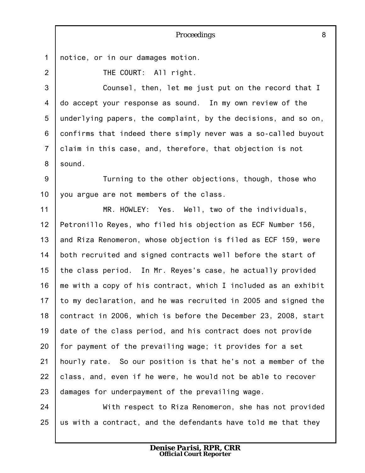1 2 3 4 5 6 7 8 9 10 11 12 13 14 15 16 17 18 19 20 21 22 23 24 25 *Proceedings* 8 notice, or in our damages motion. THE COURT: All right. Counsel, then, let me just put on the record that I do accept your response as sound. In my own review of the underlying papers, the complaint, by the decisions, and so on, confirms that indeed there simply never was a so-called buyout claim in this case, and, therefore, that objection is not sound. Turning to the other objections, though, those who you argue are not members of the class. MR. HOWLEY: Yes. Well, two of the individuals, Petronillo Reyes, who filed his objection as ECF Number 156, and Riza Renomeron, whose objection is filed as ECF 159, were both recruited and signed contracts well before the start of the class period. In Mr. Reyes's case, he actually provided me with a copy of his contract, which I included as an exhibit to my declaration, and he was recruited in 2005 and signed the contract in 2006, which is before the December 23, 2008, start date of the class period, and his contract does not provide for payment of the prevailing wage; it provides for a set hourly rate. So our position is that he's not a member of the class, and, even if he were, he would not be able to recover damages for underpayment of the prevailing wage. With respect to Riza Renomeron, she has not provided us with a contract, and the defendants have told me that they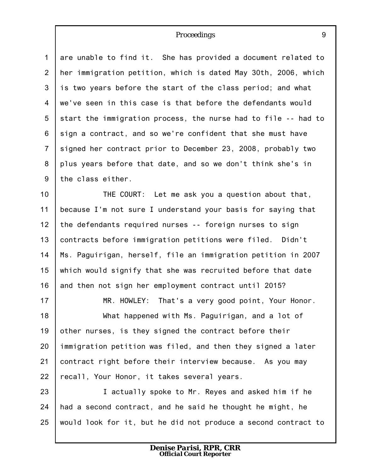1 2 3 4 5 6 7 8 9 are unable to find it. She has provided a document related to her immigration petition, which is dated May 30th, 2006, which is two years before the start of the class period; and what we've seen in this case is that before the defendants would start the immigration process, the nurse had to file -- had to sign a contract, and so we're confident that she must have signed her contract prior to December 23, 2008, probably two plus years before that date, and so we don't think she's in the class either.

10 11 12 13 14 15 16 THE COURT: Let me ask you a question about that, because I'm not sure I understand your basis for saying that the defendants required nurses -- foreign nurses to sign contracts before immigration petitions were filed. Didn't Ms. Paguirigan, herself, file an immigration petition in 2007 which would signify that she was recruited before that date and then not sign her employment contract until 2015?

17 18 19 20 21 22 MR. HOWLEY: That's a very good point, Your Honor. What happened with Ms. Paguirigan, and a lot of other nurses, is they signed the contract before their immigration petition was filed, and then they signed a later contract right before their interview because. As you may recall, Your Honor, it takes several years.

23 24 25 I actually spoke to Mr. Reyes and asked him if he had a second contract, and he said he thought he might, he would look for it, but he did not produce a second contract to

9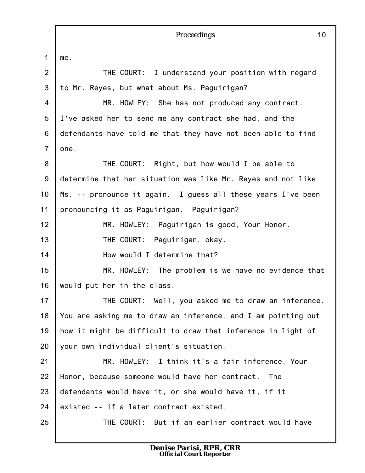1 2 3 4 5 6 7 8 9 10 11 12 13 14 15 16 17 18 19 20 21 22 23 24 25 *Proceedings* 10 me. THE COURT: I understand your position with regard to Mr. Reyes, but what about Ms. Paguirigan? MR. HOWLEY: She has not produced any contract. I've asked her to send me any contract she had, and the defendants have told me that they have not been able to find one. THE COURT: Right, but how would I be able to determine that her situation was like Mr. Reyes and not like Ms. -- pronounce it again. I guess all these years I've been pronouncing it as Paguirigan. Paguirigan? MR. HOWLEY: Paguirigan is good, Your Honor. THE COURT: Paguirigan, okay. How would I determine that? MR. HOWLEY: The problem is we have no evidence that would put her in the class. THE COURT: Well, you asked me to draw an inference. You are asking me to draw an inference, and I am pointing out how it might be difficult to draw that inference in light of your own individual client's situation. MR. HOWLEY: I think it's a fair inference, Your Honor, because someone would have her contract. The defendants would have it, or she would have it, if it existed -- if a later contract existed. THE COURT: But if an earlier contract would have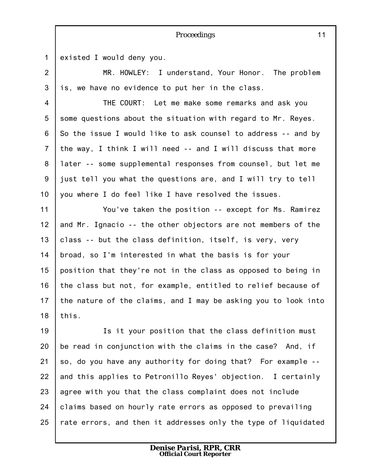1

existed I would deny you.

2 3 MR. HOWLEY: I understand, Your Honor. The problem is, we have no evidence to put her in the class.

*Proceedings*

4 5 6 7 8 9 10 THE COURT: Let me make some remarks and ask you some questions about the situation with regard to Mr. Reyes. So the issue I would like to ask counsel to address -- and by the way, I think I will need -- and I will discuss that more later -- some supplemental responses from counsel, but let me just tell you what the questions are, and I will try to tell you where I do feel like I have resolved the issues.

11 12 13 14 15 16 17 18 You've taken the position -- except for Ms. Ramirez and Mr. Ignacio -- the other objectors are not members of the class -- but the class definition, itself, is very, very broad, so I'm interested in what the basis is for your position that they're not in the class as opposed to being in the class but not, for example, entitled to relief because of the nature of the claims, and I may be asking you to look into this.

19 20 21 22 23 24 25 Is it your position that the class definition must be read in conjunction with the claims in the case? And, if so, do you have any authority for doing that? For example - and this applies to Petronillo Reyes' objection. I certainly agree with you that the class complaint does not include claims based on hourly rate errors as opposed to prevailing rate errors, and then it addresses only the type of liquidated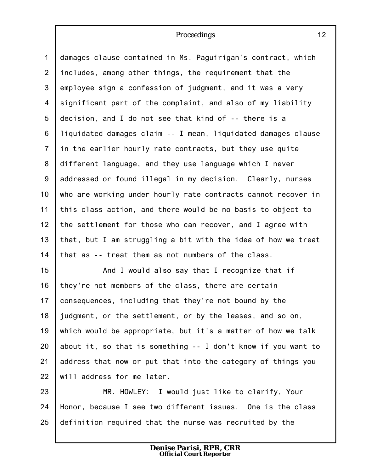1 2 3 4 5 6 7 8 9 10 11 12 13 14 damages clause contained in Ms. Paguirigan's contract, which includes, among other things, the requirement that the employee sign a confession of judgment, and it was a very significant part of the complaint, and also of my liability decision, and I do not see that kind of -- there is a liquidated damages claim -- I mean, liquidated damages clause in the earlier hourly rate contracts, but they use quite different language, and they use language which I never addressed or found illegal in my decision. Clearly, nurses who are working under hourly rate contracts cannot recover in this class action, and there would be no basis to object to the settlement for those who can recover, and I agree with that, but I am struggling a bit with the idea of how we treat that as -- treat them as not numbers of the class.

15 16 17 18 19 20 21 22 And I would also say that I recognize that if they're not members of the class, there are certain consequences, including that they're not bound by the judgment, or the settlement, or by the leases, and so on, which would be appropriate, but it's a matter of how we talk about it, so that is something -- I don't know if you want to address that now or put that into the category of things you will address for me later.

23 24 25 MR. HOWLEY: I would just like to clarify, Your Honor, because I see two different issues. One is the class definition required that the nurse was recruited by the

> *Denise Parisi, RPR, CRR Official Court Reporter*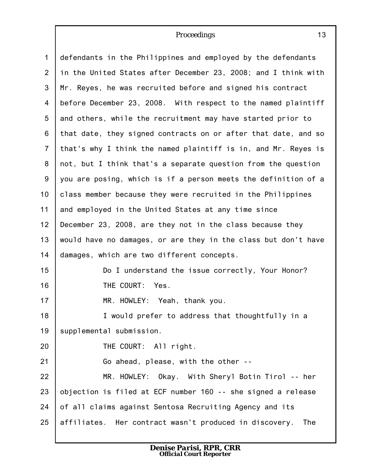| $\mathbf{1}$   | defendants in the Philippines and employed by the defendants   |
|----------------|----------------------------------------------------------------|
| $\overline{2}$ | in the United States after December 23, 2008; and I think with |
| 3              | Mr. Reyes, he was recruited before and signed his contract     |
| 4              | before December 23, 2008. With respect to the named plaintiff  |
| 5              | and others, while the recruitment may have started prior to    |
| 6              | that date, they signed contracts on or after that date, and so |
| $\overline{7}$ | that's why I think the named plaintiff is in, and Mr. Reyes is |
| 8              | not, but I think that's a separate question from the question  |
| 9              | you are posing, which is if a person meets the definition of a |
| 10             | class member because they were recruited in the Philippines    |
| 11             | and employed in the United States at any time since            |
| 12             | December 23, 2008, are they not in the class because they      |
| 13             | would have no damages, or are they in the class but don't have |
| 14             | damages, which are two different concepts.                     |
| 15             | Do I understand the issue correctly, Your Honor?               |
| 16             | THE COURT: Yes.                                                |
| 17             | MR. HOWLEY: Yeah, thank you.                                   |
| 18             | I would prefer to address that thoughtfully in a               |
| 19             | supplemental submission.                                       |
| 20             | THE COURT: All right.                                          |
| 21             | Go ahead, please, with the other --                            |
| 22             | MR. HOWLEY: Okay. With Sheryl Botin Tirol -- her               |
| 23             | objection is filed at ECF number 160 -- she signed a release   |
| 24             | of all claims against Sentosa Recruiting Agency and its        |
| 25             | affiliates. Her contract wasn't produced in discovery.<br>The  |
|                |                                                                |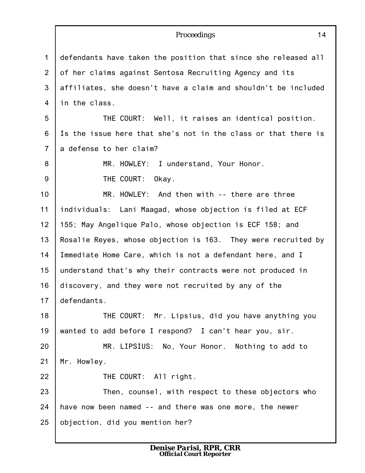|                | 14<br>Proceedings                                              |
|----------------|----------------------------------------------------------------|
| $\mathbf{1}$   | defendants have taken the position that since she released all |
| 2              | of her claims against Sentosa Recruiting Agency and its        |
| 3              | affiliates, she doesn't have a claim and shouldn't be included |
| $\overline{4}$ | in the class.                                                  |
| 5              | THE COURT: Well, it raises an identical position.              |
| 6              | Is the issue here that she's not in the class or that there is |
| $\overline{7}$ | a defense to her claim?                                        |
| 8              | MR. HOWLEY: I understand, Your Honor.                          |
| 9              | THE COURT:<br>Okay.                                            |
| 10             | MR. HOWLEY: And then with -- there are three                   |
| 11             | individuals: Lani Maagad, whose objection is filed at ECF      |
| 12             | 155; May Angelique Palo, whose objection is ECF 158; and       |
| 13             | Rosalie Reyes, whose objection is 163. They were recruited by  |
| 14             | Immediate Home Care, which is not a defendant here, and I      |
| 15             | understand that's why their contracts were not produced in     |
| 16             | discovery, and they were not recruited by any of the           |
| 17             | defendants.                                                    |
| 18             | THE COURT: Mr. Lipsius, did you have anything you              |
| 19             | wanted to add before I respond? I can't hear you, sir.         |
| 20             | MR. LIPSIUS: No, Your Honor. Nothing to add to                 |
| 21             | Mr. Howley.                                                    |
| 22             | THE COURT: All right.                                          |
| 23             | Then, counsel, with respect to these objectors who             |
| 24             | have now been named -- and there was one more, the newer       |
| 25             | objection, did you mention her?                                |
|                |                                                                |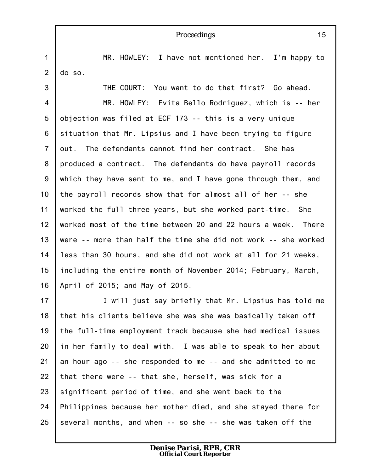#### 1 2 3 4 5 6 7 8 9 10 11 12 13 14 15 16 17 18 19 20 21 22 23 *Proceedings* 15 MR. HOWLEY: I have not mentioned her. I'm happy to do so. THE COURT: You want to do that first? Go ahead. MR. HOWLEY: Evita Bello Rodriguez, which is -- her objection was filed at ECF 173 -- this is a very unique situation that Mr. Lipsius and I have been trying to figure out. The defendants cannot find her contract. She has produced a contract. The defendants do have payroll records which they have sent to me, and I have gone through them, and the payroll records show that for almost all of her -- she worked the full three years, but she worked part-time. She worked most of the time between 20 and 22 hours a week. There were -- more than half the time she did not work -- she worked less than 30 hours, and she did not work at all for 21 weeks, including the entire month of November 2014; February, March, April of 2015; and May of 2015. I will just say briefly that Mr. Lipsius has told me that his clients believe she was she was basically taken off the full-time employment track because she had medical issues in her family to deal with. I was able to speak to her about an hour ago -- she responded to me -- and she admitted to me that there were -- that she, herself, was sick for a significant period of time, and she went back to the

24 25 Philippines because her mother died, and she stayed there for several months, and when -- so she -- she was taken off the

> *Denise Parisi, RPR, CRR Official Court Reporter*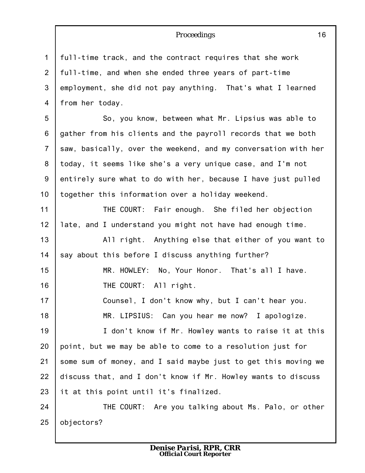1 2 3 4 full-time track, and the contract requires that she work full-time, and when she ended three years of part-time employment, she did not pay anything. That's what I learned from her today.

5 6 7 8 9 10 So, you know, between what Mr. Lipsius was able to gather from his clients and the payroll records that we both saw, basically, over the weekend, and my conversation with her today, it seems like she's a very unique case, and I'm not entirely sure what to do with her, because I have just pulled together this information over a holiday weekend.

11 12 13 THE COURT: Fair enough. She filed her objection late, and I understand you might not have had enough time. All right. Anything else that either of you want to

14 say about this before I discuss anything further?

15 16 MR. HOWLEY: No, Your Honor. That's all I have. THE COURT: All right.

17 18 Counsel, I don't know why, but I can't hear you. MR. LIPSIUS: Can you hear me now? I apologize.

19 20 21 22 23 I don't know if Mr. Howley wants to raise it at this point, but we may be able to come to a resolution just for some sum of money, and I said maybe just to get this moving we discuss that, and I don't know if Mr. Howley wants to discuss it at this point until it's finalized.

24 25 THE COURT: Are you talking about Ms. Palo, or other objectors?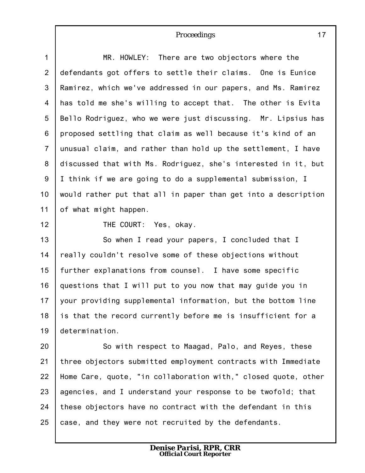| $\mathbf{1}$    | MR. HOWLEY: There are two objectors where the                  |
|-----------------|----------------------------------------------------------------|
| $\overline{2}$  | defendants got offers to settle their claims. One is Eunice    |
| 3               | Ramirez, which we've addressed in our papers, and Ms. Ramirez  |
| 4               | has told me she's willing to accept that. The other is Evita   |
| $5\phantom{.0}$ | Bello Rodriguez, who we were just discussing. Mr. Lipsius has  |
| 6               | proposed settling that claim as well because it's kind of an   |
| $\overline{7}$  | unusual claim, and rather than hold up the settlement, I have  |
| 8               | discussed that with Ms. Rodriguez, she's interested in it, but |
| 9               | I think if we are going to do a supplemental submission, I     |
| 10              | would rather put that all in paper than get into a description |
| 11              | of what might happen.                                          |
| 12              | THE COURT: Yes, okay.                                          |
| 13              | So when I read your papers, I concluded that I                 |
| 14              | really couldn't resolve some of these objections without       |
| 15              | further explanations from counsel. I have some specific        |
| 16              | questions that I will put to you now that may guide you in     |
| 17              | your providing supplemental information, but the bottom line   |
| 18              | is that the record currently before me is insufficient for a   |
| 19              | determination.                                                 |
| 20              | So with respect to Maagad, Palo, and Reyes, these              |
| 21              | three objectors submitted employment contracts with Immediate  |
|                 |                                                                |
| 22              | Home Care, quote, "in collaboration with," closed quote, other |

24 25 these objectors have no contract with the defendant in this case, and they were not recruited by the defendants.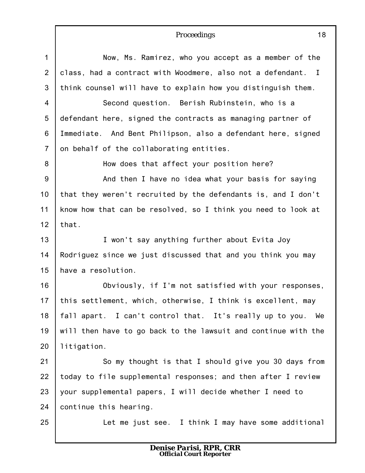1 2 3 4 5 6 7 8 9 10 11 12 13 14 15 16 17 18 19 20 21 22 23 24 25 Now, Ms. Ramirez, who you accept as a member of the class, had a contract with Woodmere, also not a defendant. I think counsel will have to explain how you distinguish them. Second question. Berish Rubinstein, who is a defendant here, signed the contracts as managing partner of Immediate. And Bent Philipson, also a defendant here, signed on behalf of the collaborating entities. How does that affect your position here? And then I have no idea what your basis for saying that they weren't recruited by the defendants is, and I don't know how that can be resolved, so I think you need to look at that. I won't say anything further about Evita Joy Rodriguez since we just discussed that and you think you may have a resolution. Obviously, if I'm not satisfied with your responses, this settlement, which, otherwise, I think is excellent, may fall apart. I can't control that. It's really up to you. We will then have to go back to the lawsuit and continue with the litigation. So my thought is that I should give you 30 days from today to file supplemental responses; and then after I review your supplemental papers, I will decide whether I need to continue this hearing. Let me just see. I think I may have some additional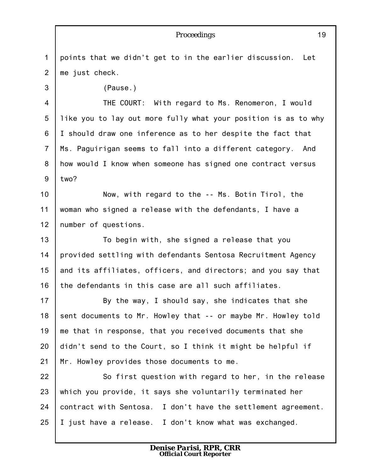|                | 19<br>Proceedings                                              |
|----------------|----------------------------------------------------------------|
| 1              | points that we didn't get to in the earlier discussion.<br>Let |
| $\overline{2}$ | me just check.                                                 |
| 3              | (Pause.)                                                       |
| 4              | THE COURT: With regard to Ms. Renomeron, I would               |
| 5              | like you to lay out more fully what your position is as to why |
| 6              | I should draw one inference as to her despite the fact that    |
| $\overline{7}$ | Ms. Paguirigan seems to fall into a different category.<br>And |
| 8              | how would I know when someone has signed one contract versus   |
| $9\,$          | two?                                                           |
| 10             | Now, with regard to the -- Ms. Botin Tirol, the                |
| 11             | woman who signed a release with the defendants, I have a       |
| 12             | number of questions.                                           |
| 13             | To begin with, she signed a release that you                   |
| 14             | provided settling with defendants Sentosa Recruitment Agency   |
| 15             | and its affiliates, officers, and directors; and you say that  |
| 16             | the defendants in this case are all such affiliates.           |
| 17             | By the way, I should say, she indicates that she               |
| 18             | sent documents to Mr. Howley that -- or maybe Mr. Howley told  |
| 19             | me that in response, that you received documents that she      |
| 20             | didn't send to the Court, so I think it might be helpful if    |
| 21             | Mr. Howley provides those documents to me.                     |
| 22             | So first question with regard to her, in the release           |
| 23             | which you provide, it says she voluntarily terminated her      |
| 24             | contract with Sentosa. I don't have the settlement agreement.  |
| 25             | I just have a release. I don't know what was exchanged.        |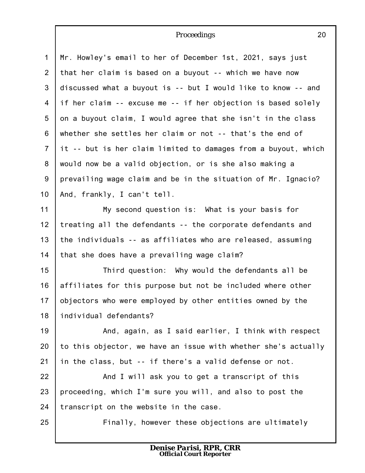1 2 3 4 5 6 7 8 9 10 Mr. Howley's email to her of December 1st, 2021, says just that her claim is based on a buyout -- which we have now discussed what a buyout is -- but I would like to know -- and if her claim -- excuse me -- if her objection is based solely on a buyout claim, I would agree that she isn't in the class whether she settles her claim or not -- that's the end of it -- but is her claim limited to damages from a buyout, which would now be a valid objection, or is she also making a prevailing wage claim and be in the situation of Mr. Ignacio? And, frankly, I can't tell.

11 12 13 14 My second question is: What is your basis for treating all the defendants -- the corporate defendants and the individuals -- as affiliates who are released, assuming that she does have a prevailing wage claim?

15 16 17 18 Third question: Why would the defendants all be affiliates for this purpose but not be included where other objectors who were employed by other entities owned by the individual defendants?

19 20 21 And, again, as I said earlier, I think with respect to this objector, we have an issue with whether she's actually in the class, but -- if there's a valid defense or not.

22 23 24 And I will ask you to get a transcript of this proceeding, which I'm sure you will, and also to post the transcript on the website in the case.

25

Finally, however these objections are ultimately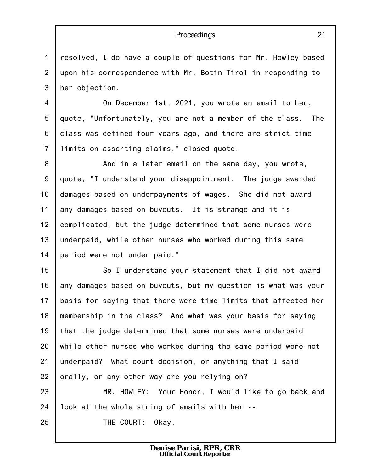1 2 3 resolved, I do have a couple of questions for Mr. Howley based upon his correspondence with Mr. Botin Tirol in responding to her objection.

4 5 6 7 On December 1st, 2021, you wrote an email to her, quote, "Unfortunately, you are not a member of the class. The class was defined four years ago, and there are strict time limits on asserting claims," closed quote.

8 9 10 11 12 13 14 And in a later email on the same day, you wrote, quote, "I understand your disappointment. The judge awarded damages based on underpayments of wages. She did not award any damages based on buyouts. It is strange and it is complicated, but the judge determined that some nurses were underpaid, while other nurses who worked during this same period were not under paid."

15 16 17 18 19 20 21 22 So I understand your statement that I did not award any damages based on buyouts, but my question is what was your basis for saying that there were time limits that affected her membership in the class? And what was your basis for saying that the judge determined that some nurses were underpaid while other nurses who worked during the same period were not underpaid? What court decision, or anything that I said orally, or any other way are you relying on?

23 24 MR. HOWLEY: Your Honor, I would like to go back and look at the whole string of emails with her --

THE COURT: Okay.

25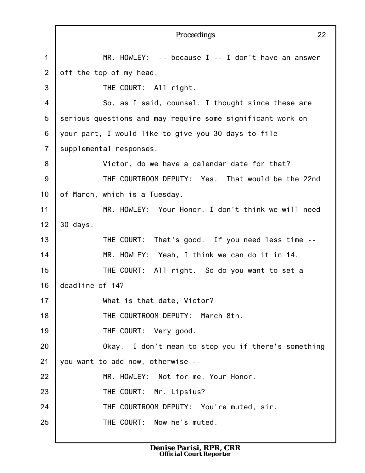|                | Proceedings<br>22                                          |
|----------------|------------------------------------------------------------|
| $\mathbf{1}$   | MR. HOWLEY: $-$ - because I $-$ - I don't have an answer   |
| $\overline{2}$ | off the top of my head.                                    |
| 3              | THE COURT: All right.                                      |
| 4              | So, as I said, counsel, I thought since these are          |
| 5              | serious questions and may require some significant work on |
| 6              | your part, I would like to give you 30 days to file        |
| $\overline{7}$ | supplemental responses.                                    |
| 8              | Victor, do we have a calendar date for that?               |
| $9$            | THE COURTROOM DEPUTY: Yes. That would be the 22nd          |
| 10             | of March, which is a Tuesday.                              |
| 11             | MR. HOWLEY: Your Honor, I don't think we will need         |
| 12             | 30 days.                                                   |
| 13             | THE COURT: That's good. If you need less time --           |
| 14             | MR. HOWLEY: Yeah, I think we can do it in 14.              |
| 15             | THE COURT: All right. So do you want to set a              |
| 16             | deadline of 14?                                            |
| 17             | What is that date, Victor?                                 |
| 18             | THE COURTROOM DEPUTY: March 8th.                           |
| 19             | THE COURT: Very good.                                      |
| 20             | Okay. I don't mean to stop you if there's something        |
| 21             | you want to add now, otherwise --                          |
| 22             | MR. HOWLEY: Not for me, Your Honor.                        |
| 23             | THE COURT: Mr. Lipsius?                                    |
| 24             | THE COURTROOM DEPUTY: You're muted, sir.                   |
| 25             | THE COURT: Now he's muted.                                 |
|                |                                                            |